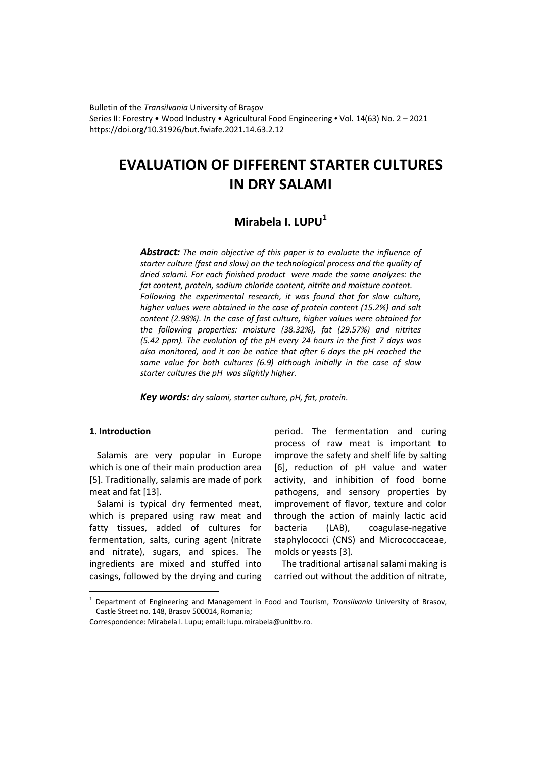Bulletin of the *Transilvania* University of Braşov Series II: Forestry • Wood Industry • Agricultural Food Engineering • Vol. 14(63) No. 2 – 2021 https://doi.org/10.31926/but.fwiafe.2021.14.63.2.12

# **EVALUATION OF DIFFERENT STARTER CULTURES IN DRY SALAMI**

# **Mirabela I. LUPU<sup>1</sup>**

*Abstract: The main objective of this paper is to evaluate the influence of starter culture (fast and slow) on the technological process and the quality of dried salami. For each finished product were made the same analyzes: the fat content, protein, sodium chloride content, nitrite and moisture content. Following the experimental research, it was found that for slow culture, higher values were obtained in the case of protein content (15.2%) and salt content (2.98%). In the case of fast culture, higher values were obtained for the following properties: moisture (38.32%), fat (29.57%) and nitrites (5.42 ppm). The evolution of the pH every 24 hours in the first 7 days was also monitored, and it can be notice that after 6 days the pH reached the same value for both cultures (6.9) although initially in the case of slow starter cultures the pH was slightly higher.* 

*Key words: dry salami, starter culture, pH, fat, protein.*

## **1. Introduction**

 $\overline{a}$ 

Salamis are very popular in Europe which is one of their main production area [5]. Traditionally, salamis are made of pork meat and fat [13].

Salami is typical dry fermented meat, which is prepared using raw meat and fatty tissues, added of cultures for fermentation, salts, curing agent (nitrate and nitrate), sugars, and spices. The ingredients are mixed and stuffed into casings, followed by the drying and curing

period. The fermentation and curing process of raw meat is important to improve the safety and shelf life by salting [6], reduction of pH value and water activity, and inhibition of food borne pathogens, and sensory properties by improvement of flavor, texture and color through the action of mainly lactic acid bacteria (LAB), coagulase-negative staphylococci (CNS) and Micrococcaceae, molds or yeasts [3].

The traditional artisanal salami making is carried out without the addition of nitrate,

<sup>1</sup> Department of Engineering and Management in Food and Tourism, *Transilvania* University of Brasov, Castle Street no. 148, Brasov 500014, Romania;

Correspondence: Mirabela I. Lupu; email: lupu.mirabela@unitbv.ro.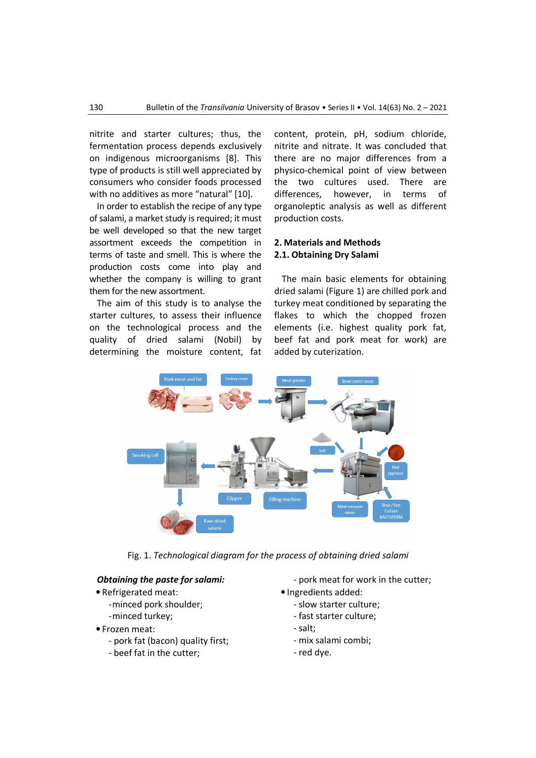nitrite and starter cultures; thus, the fermentation process depends exclusively on indigenous microorganisms [8]. This type of products is still well appreciated by consumers who consider foods processed with no additives as more "natural" [10].

In order to establish the recipe of any type of salami, a market study is required; it must be well developed so that the new target assortment exceeds the competition in terms of taste and smell. This is where the production costs come into play and whether the company is willing to grant them for the new assortment.

The aim of this study is to analyse the starter cultures, to assess their influence on the technological process and the quality of dried salami (Nobil) by determining the moisture content, fat

content, protein, pH, sodium chloride, nitrite and nitrate. It was concluded that there are no major differences from a physico-chemical point of view between the two cultures used. There are differences, however, in terms of organoleptic analysis as well as different production costs.

# **2. Materials and Methods 2.1. Obtaining Dry Salami**

The main basic elements for obtaining dried salami (Figure 1) are chilled pork and turkey meat conditioned by separating the flakes to which the chopped frozen elements (i.e. highest quality pork fat, beef fat and pork meat for work) are added by cuterization.



Fig. 1. *Technological diagram for the process of obtaining dried salami* 

### *Obtaining the paste for salami:*

- Refrigerated meat:
	- -minced pork shoulder;
	- -minced turkey;
- Frozen meat:
	- pork fat (bacon) quality first;
	- beef fat in the cutter;

- pork meat for work in the cutter;

- Ingredients added:
	- slow starter culture;
	- fast starter culture;
	- salt;
	- mix salami combi;
	- red dye.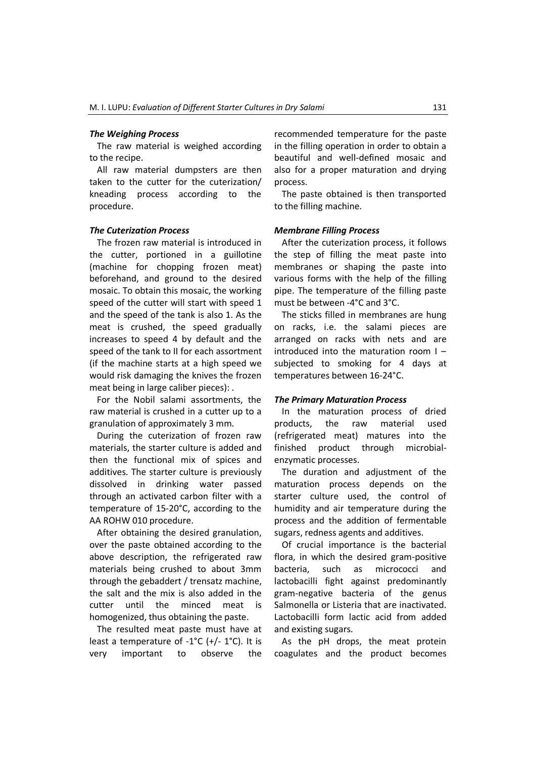#### *The Weighing Process*

The raw material is weighed according to the recipe.

All raw material dumpsters are then taken to the cutter for the cuterization/ kneading process according to the procedure.

#### *The Cuterization Process*

The frozen raw material is introduced in the cutter, portioned in a guillotine (machine for chopping frozen meat) beforehand, and ground to the desired mosaic. To obtain this mosaic, the working speed of the cutter will start with speed 1 and the speed of the tank is also 1. As the meat is crushed, the speed gradually increases to speed 4 by default and the speed of the tank to II for each assortment (if the machine starts at a high speed we would risk damaging the knives the frozen meat being in large caliber pieces): .

For the Nobil salami assortments, the raw material is crushed in a cutter up to a granulation of approximately 3 mm.

During the cuterization of frozen raw materials, the starter culture is added and then the functional mix of spices and additives. The starter culture is previously dissolved in drinking water passed through an activated carbon filter with a temperature of 15-20°C, according to the AA ROHW 010 procedure.

After obtaining the desired granulation, over the paste obtained according to the above description, the refrigerated raw materials being crushed to about 3mm through the gebaddert / trensatz machine, the salt and the mix is also added in the cutter until the minced meat is homogenized, thus obtaining the paste.

The resulted meat paste must have at least a temperature of -1°C (+/- 1°C). It is very important to observe the recommended temperature for the paste in the filling operation in order to obtain a beautiful and well-defined mosaic and also for a proper maturation and drying process.

The paste obtained is then transported to the filling machine.

#### *Membrane Filling Process*

After the cuterization process, it follows the step of filling the meat paste into membranes or shaping the paste into various forms with the help of the filling pipe. The temperature of the filling paste must be between -4°C and 3°C.

The sticks filled in membranes are hung on racks, i.e. the salami pieces are arranged on racks with nets and are introduced into the maturation room I – subjected to smoking for 4 days at temperatures between 16-24°C.

#### *The Primary Maturation Process*

In the maturation process of dried products, the raw material used (refrigerated meat) matures into the finished product through microbialenzymatic processes.

The duration and adjustment of the maturation process depends on the starter culture used, the control of humidity and air temperature during the process and the addition of fermentable sugars, redness agents and additives.

Of crucial importance is the bacterial flora, in which the desired gram-positive bacteria, such as micrococci and lactobacilli fight against predominantly gram-negative bacteria of the genus Salmonella or Listeria that are inactivated. Lactobacilli form lactic acid from added and existing sugars.

As the pH drops, the meat protein coagulates and the product becomes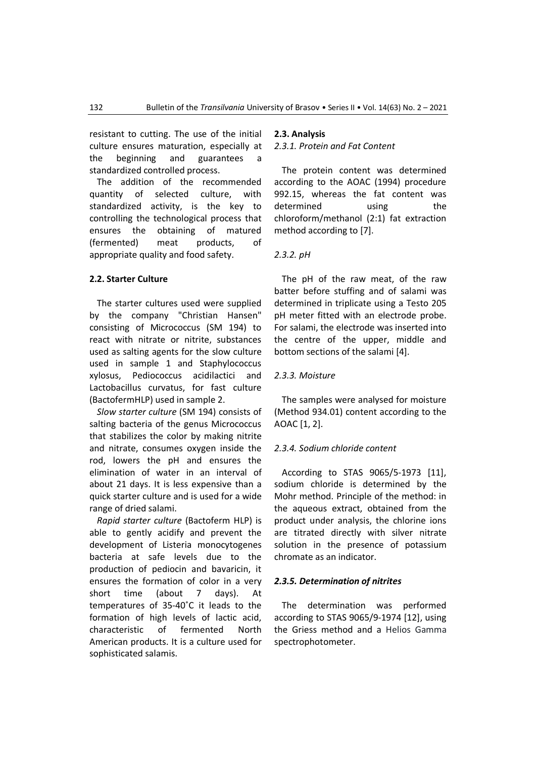resistant to cutting. The use of the initial culture ensures maturation, especially at the beginning and guarantees a standardized controlled process.

The addition of the recommended quantity of selected culture, with standardized activity, is the key to controlling the technological process that ensures the obtaining of matured (fermented) meat products, of appropriate quality and food safety.

#### **2.2. Starter Culture**

The starter cultures used were supplied by the company "Christian Hansen" consisting of Micrococcus (SM 194) to react with nitrate or nitrite, substances used as salting agents for the slow culture used in sample 1 and Staphylococcus xylosus, Pediococcus acidilactici and Lactobacillus curvatus, for fast culture (BactofermHLP) used in sample 2.

*Slow starter culture* (SM 194) consists of salting bacteria of the genus Micrococcus that stabilizes the color by making nitrite and nitrate, consumes oxygen inside the rod, lowers the pH and ensures the elimination of water in an interval of about 21 days. It is less expensive than a quick starter culture and is used for a wide range of dried salami.

*Rapid starter culture* (Bactoferm HLP) is able to gently acidify and prevent the development of Listeria monocytogenes bacteria at safe levels due to the production of pediocin and bavaricin, it ensures the formation of color in a very short time (about 7 days). At temperatures of 35-40˚C it leads to the formation of high levels of lactic acid, characteristic of fermented North American products. It is a culture used for sophisticated salamis.

#### **2.3. Analysis**

#### *2.3.1. Protein and Fat Content*

The protein content was determined according to the AOAC (1994) procedure 992.15, whereas the fat content was determined using the chloroform/methanol (2:1) fat extraction method according to [7].

#### *2.3.2. pH*

The pH of the raw meat, of the raw batter before stuffing and of salami was determined in triplicate using a Testo 205 pH meter fitted with an electrode probe. For salami, the electrode was inserted into the centre of the upper, middle and bottom sections of the salami [4].

#### *2.3.3. Moisture*

The samples were analysed for moisture (Method 934.01) content according to the AOAC [1, 2].

#### *2.3.4. Sodium chloride content*

According to STAS 9065/5-1973 [11], sodium chloride is determined by the Mohr method. Principle of the method: in the aqueous extract, obtained from the product under analysis, the chlorine ions are titrated directly with silver nitrate solution in the presence of potassium chromate as an indicator.

#### *2.3.5. Determination of nitrites*

The determination was performed according to STAS 9065/9-1974 [12], using the Griess method and a Helios Gamma spectrophotometer.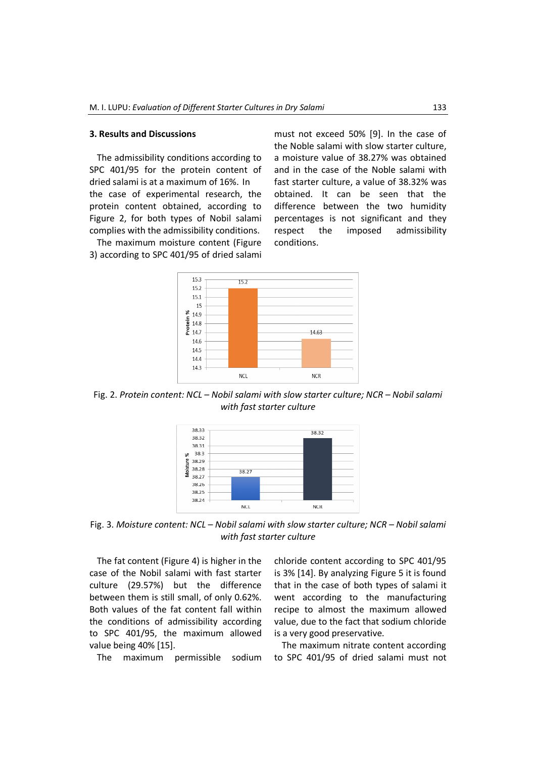#### **3. Results and Discussions**

The admissibility conditions according to SPC 401/95 for the protein content of dried salami is at a maximum of 16%. In the case of experimental research, the protein content obtained, according to Figure 2, for both types of Nobil salami complies with the admissibility conditions.

The maximum moisture content (Figure 3) according to SPC 401/95 of dried salami must not exceed 50% [9]. In the case of the Noble salami with slow starter culture, a moisture value of 38.27% was obtained and in the case of the Noble salami with fast starter culture, a value of 38.32% was obtained. It can be seen that the difference between the two humidity percentages is not significant and they respect the imposed admissibility conditions.



Fig. 2. *Protein content: NCL – Nobil salami with slow starter culture; NCR – Nobil salami with fast starter culture* 



Fig. 3. *Moisture content: NCL – Nobil salami with slow starter culture; NCR – Nobil salami with fast starter culture* 

The fat content (Figure 4) is higher in the case of the Nobil salami with fast starter culture (29.57%) but the difference between them is still small, of only 0.62%. Both values of the fat content fall within the conditions of admissibility according to SPC 401/95, the maximum allowed value being 40% [15].

The maximum permissible sodium

chloride content according to SPC 401/95 is 3% [14]. By analyzing Figure 5 it is found that in the case of both types of salami it went according to the manufacturing recipe to almost the maximum allowed value, due to the fact that sodium chloride is a very good preservative.

The maximum nitrate content according to SPC 401/95 of dried salami must not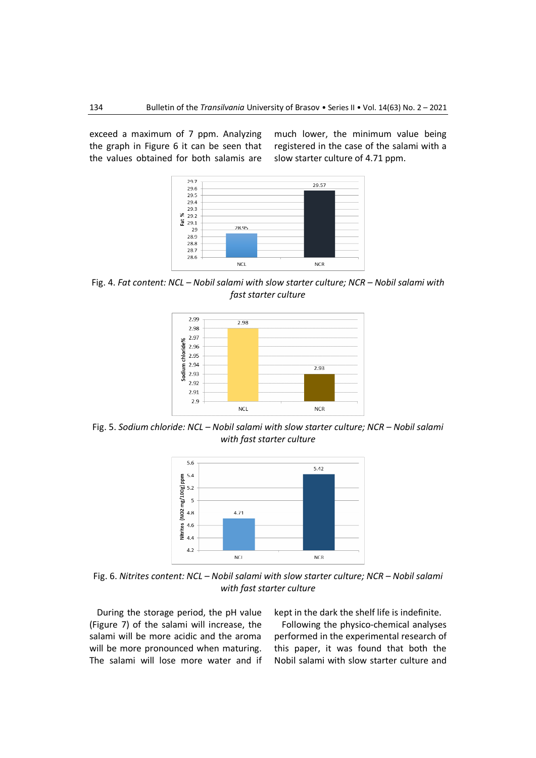exceed a maximum of 7 ppm. Analyzing the graph in Figure 6 it can be seen that the values obtained for both salamis are

much lower, the minimum value being registered in the case of the salami with a slow starter culture of 4.71 ppm.



Fig. 4. *Fat content: NCL – Nobil salami with slow starter culture; NCR – Nobil salami with fast starter culture* 



Fig. 5. *Sodium chloride: NCL – Nobil salami with slow starter culture; NCR – Nobil salami with fast starter culture* 



Fig. 6. *Nitrites content: NCL – Nobil salami with slow starter culture; NCR – Nobil salami with fast starter culture* 

During the storage period, the pH value (Figure 7) of the salami will increase, the salami will be more acidic and the aroma will be more pronounced when maturing. The salami will lose more water and if kept in the dark the shelf life is indefinite.

Following the physico-chemical analyses performed in the experimental research of this paper, it was found that both the Nobil salami with slow starter culture and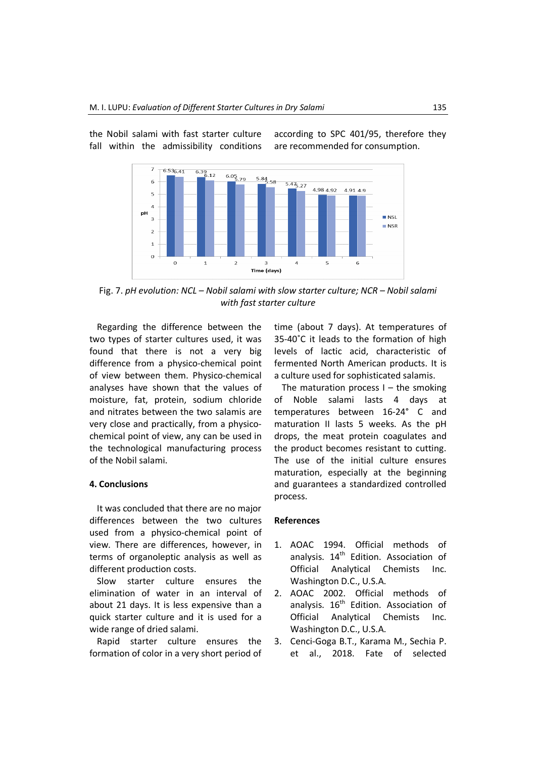

the Nobil salami with fast starter culture fall within the admissibility conditions according to SPC 401/95, therefore they are recommended for consumption.

Fig. 7. *pH evolution: NCL – Nobil salami with slow starter culture; NCR – Nobil salami with fast starter culture* 

Regarding the difference between the two types of starter cultures used, it was found that there is not a very big difference from a physico-chemical point of view between them. Physico-chemical analyses have shown that the values of moisture, fat, protein, sodium chloride and nitrates between the two salamis are very close and practically, from a physicochemical point of view, any can be used in the technological manufacturing process of the Nobil salami.

## **4. Conclusions**

It was concluded that there are no major differences between the two cultures used from a physico-chemical point of view. There are differences, however, in terms of organoleptic analysis as well as different production costs.

Slow starter culture ensures the elimination of water in an interval of about 21 days. It is less expensive than a quick starter culture and it is used for a wide range of dried salami.

Rapid starter culture ensures the formation of color in a very short period of

time (about 7 days). At temperatures of 35-40˚C it leads to the formation of high levels of lactic acid, characteristic of fermented North American products. It is a culture used for sophisticated salamis.

The maturation process  $I -$  the smoking of Noble salami lasts 4 days at temperatures between 16-24° C and maturation II lasts 5 weeks. As the pH drops, the meat protein coagulates and the product becomes resistant to cutting. The use of the initial culture ensures maturation, especially at the beginning and guarantees a standardized controlled process.

#### **References**

- 1. AOAC 1994. Official methods of analysis.  $14<sup>th</sup>$  Edition. Association of Official Analytical Chemists Inc. Washington D.C., U.S.A.
- 2. AOAC 2002. Official methods of analysis. 16<sup>th</sup> Edition. Association of Official Analytical Chemists Inc. Washington D.C., U.S.A.
- 3. Cenci-Goga B.T., Karama M., Sechia P. et al., 2018. Fate of selected